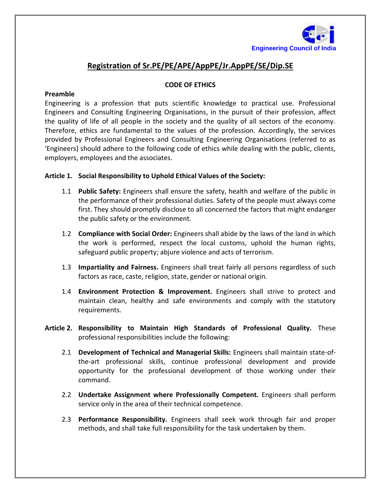

## **Registration of Sr.PE/PE/APE/AppPE/Jr.AppPE/SE/Dip.SE**

## **CODE OF ETHICS**

## **Preamble**

Engineering is a profession that puts scientific knowledge to practical use. Professional Engineers and Consulting Engineering Organisations, in the pursuit of their profession, affect the quality of life of all people in the society and the quality of all sectors of the economy. Therefore, ethics are fundamental to the values of the profession. Accordingly, the services provided by Professional Engineers and Consulting Engineering Organisations (referred to as 'Engineers) should adhere to the following code of ethics while dealing with the public, clients, employers, employees and the associates.

## **Article 1. Social Responsibility to Uphold Ethical Values of the Society:**

- 1.1 **Public Safety:** Engineers shall ensure the safety, health and welfare of the public in the performance of their professional duties. Safety of the people must always come first. They should promptly disclose to all concerned the factors that might endanger the public safety or the environment.
- 1.2 **Compliance with Social Order:** Engineers shall abide by the laws of the land in which the work is performed, respect the local customs, uphold the human rights, safeguard public property; abjure violence and acts of terrorism.
- 1.3 **Impartiality and Fairness.** Engineers shall treat fairly all persons regardless of such factors as race, caste, religion, state, gender or national origin.
- 1.4 **Environment Protection & Improvement.** Engineers shall strive to protect and maintain clean, healthy and safe environments and comply with the statutory requirements.
- **Article 2. Responsibility to Maintain High Standards of Professional Quality.** These professional responsibilities include the following:
	- 2.1 **Development of Technical and Managerial Skills:** Engineers shall maintain state-ofthe-art professional skills, continue professional development and provide opportunity for the professional development of those working under their command.
	- 2.2 **Undertake Assignment where Professionally Competent.** Engineers shall perform service only in the area of their technical competence.
	- 2.3 **Performance Responsibility.** Engineers shall seek work through fair and proper methods, and shall take full responsibility for the task undertaken by them.